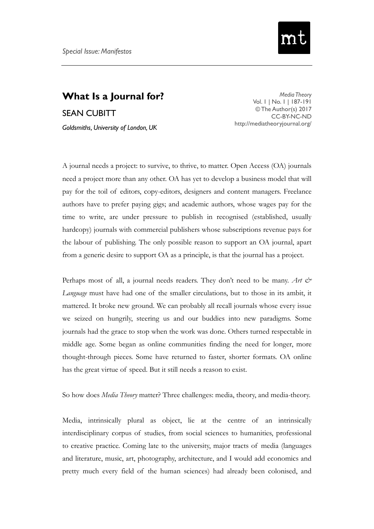

## **What Is a Journal for?** SEAN CUBITT *Goldsmiths, University of London, UK*

*Media Theory* Vol. 1 | No. 1 | 187-191 © The Author(s) 2017 CC-BY-NC-ND <http://mediatheoryjournal.org/>

A journal needs a project: to survive, to thrive, to matter. Open Access (OA) journals need a project more than any other. OA has yet to develop a business model that will pay for the toil of editors, copy-editors, designers and content managers. Freelance authors have to prefer paying gigs; and academic authors, whose wages pay for the time to write, are under pressure to publish in recognised (established, usually hardcopy) journals with commercial publishers whose subscriptions revenue pays for the labour of publishing. The only possible reason to support an OA journal, apart from a generic desire to support OA as a principle, is that the journal has a project.

Perhaps most of all, a journal needs readers. They don't need to be many. *Art & Language* must have had one of the smaller circulations, but to those in its ambit, it mattered. It broke new ground. We can probably all recall journals whose every issue we seized on hungrily, steering us and our buddies into new paradigms. Some journals had the grace to stop when the work was done. Others turned respectable in middle age. Some began as online communities finding the need for longer, more thought-through pieces. Some have returned to faster, shorter formats. OA online has the great virtue of speed. But it still needs a reason to exist.

So how does *Media Theory* matter? Three challenges: media, theory, and media-theory.

Media, intrinsically plural as object, lie at the centre of an intrinsically interdisciplinary corpus of studies, from social sciences to humanities, professional to creative practice. Coming late to the university, major tracts of media (languages and literature, music, art, photography, architecture, and I would add economics and pretty much every field of the human sciences) had already been colonised, and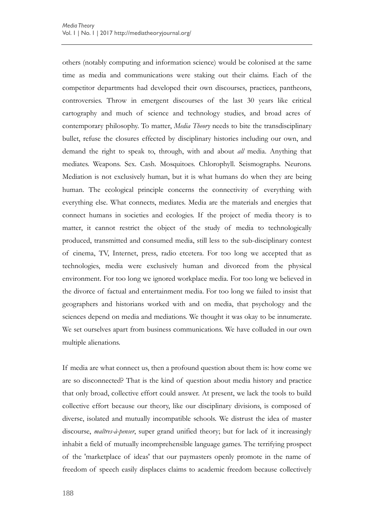others (notably computing and information science) would be colonised at the same time as media and communications were staking out their claims. Each of the competitor departments had developed their own discourses, practices, pantheons, controversies. Throw in emergent discourses of the last 30 years like critical cartography and much of science and technology studies, and broad acres of contemporary philosophy. To matter, *Media Theory* needs to bite the transdisciplinary bullet, refuse the closures effected by disciplinary histories including our own, and demand the right to speak to, through, with and about *all* media. Anything that mediates. Weapons. Sex. Cash. Mosquitoes. Chlorophyll. Seismographs. Neurons. Mediation is not exclusively human, but it is what humans do when they are being human. The ecological principle concerns the connectivity of everything with everything else. What connects, mediates. Media are the materials and energies that connect humans in societies and ecologies. If the project of media theory is to matter, it cannot restrict the object of the study of media to technologically produced, transmitted and consumed media, still less to the sub-disciplinary contest of cinema, TV, Internet, press, radio etcetera. For too long we accepted that as technologies, media were exclusively human and divorced from the physical environment. For too long we ignored workplace media. For too long we believed in the divorce of factual and entertainment media. For too long we failed to insist that geographers and historians worked with and on media, that psychology and the sciences depend on media and mediations. We thought it was okay to be innumerate. We set ourselves apart from business communications. We have colluded in our own multiple alienations.

If media are what connect us, then a profound question about them is: how come we are so disconnected? That is the kind of question about media history and practice that only broad, collective effort could answer. At present, we lack the tools to build collective effort because our theory, like our disciplinary divisions, is composed of diverse, isolated and mutually incompatible schools. We distrust the idea of master discourse, *maîtres-à-penser*, super grand unified theory; but for lack of it increasingly inhabit a field of mutually incomprehensible language games. The terrifying prospect of the 'marketplace of ideas' that our paymasters openly promote in the name of freedom of speech easily displaces claims to academic freedom because collectively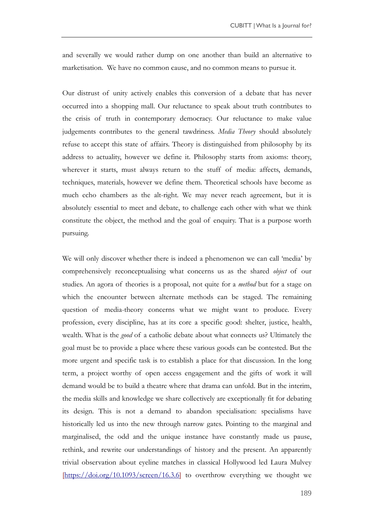and severally we would rather dump on one another than build an alternative to marketisation. We have no common cause, and no common means to pursue it.

Our distrust of unity actively enables this conversion of a debate that has never occurred into a shopping mall. Our reluctance to speak about truth contributes to the crisis of truth in contemporary democracy. Our reluctance to make value judgements contributes to the general tawdriness. *Media Theory* should absolutely refuse to accept this state of affairs. Theory is distinguished from philosophy by its address to actuality, however we define it. Philosophy starts from axioms: theory, wherever it starts, must always return to the stuff of media: affects, demands, techniques, materials, however we define them. Theoretical schools have become as much echo chambers as the alt-right. We may never reach agreement, but it is absolutely essential to meet and debate, to challenge each other with what we think constitute the object, the method and the goal of enquiry. That is a purpose worth pursuing.

We will only discover whether there is indeed a phenomenon we can call 'media' by comprehensively reconceptualising what concerns us as the shared *object* of our studies. An agora of theories is a proposal, not quite for a *method* but for a stage on which the encounter between alternate methods can be staged. The remaining question of media-theory concerns what we might want to produce. Every profession, every discipline, has at its core a specific good: shelter, justice, health, wealth. What is the *good* of a catholic debate about what connects us? Ultimately the goal must be to provide a place where these various goods can be contested. But the more urgent and specific task is to establish a place for that discussion. In the long term, a project worthy of open access engagement and the gifts of work it will demand would be to build a theatre where that drama can unfold. But in the interim, the media skills and knowledge we share collectively are exceptionally fit for debating its design. This is not a demand to abandon specialisation: specialisms have historically led us into the new through narrow gates. Pointing to the marginal and marginalised, the odd and the unique instance have constantly made us pause, rethink, and rewrite our understandings of history and the present. An apparently trivial observation about eyeline matches in classical Hollywood led Laura Mulvey [\[https://doi.org/10.1093/screen/16.3.6\]](https://doi.org/10.1093/screen/16.3.6) to overthrow everything we thought we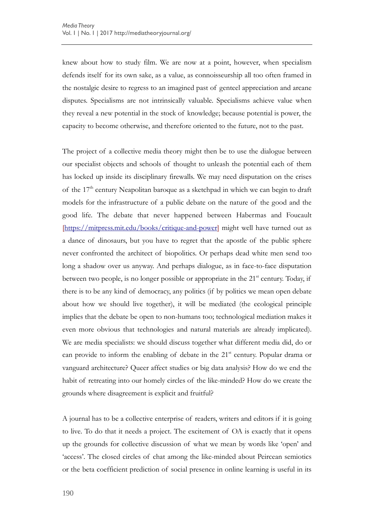knew about how to study film. We are now at a point, however, when specialism defends itself for its own sake, as a value, as connoisseurship all too often framed in the nostalgic desire to regress to an imagined past of genteel appreciation and arcane disputes. Specialisms are not intrinsically valuable. Specialisms achieve value when they reveal a new potential in the stock of knowledge; because potential is power, the capacity to become otherwise, and therefore oriented to the future, not to the past.

The project of a collective media theory might then be to use the dialogue between our specialist objects and schools of thought to unleash the potential each of them has locked up inside its disciplinary firewalls. We may need disputation on the crises of the  $17<sup>th</sup>$  century Neapolitan baroque as a sketchpad in which we can begin to draft models for the infrastructure of a public debate on the nature of the good and the good life. The debate that never happened between Habermas and Foucault [\[https://mitpress.mit.edu/books/critique-and-power\]](https://mitpress.mit.edu/books/critique-and-power) might well have turned out as a dance of dinosaurs, but you have to regret that the apostle of the public sphere never confronted the architect of biopolitics. Or perhaps dead white men send too long a shadow over us anyway. And perhaps dialogue, as in face-to-face disputation between two people, is no longer possible or appropriate in the  $21<sup>st</sup>$  century. Today, if there is to be any kind of democracy, any politics (if by politics we mean open debate about how we should live together), it will be mediated (the ecological principle implies that the debate be open to non-humans too; technological mediation makes it even more obvious that technologies and natural materials are already implicated). We are media specialists: we should discuss together what different media did, do or can provide to inform the enabling of debate in the  $21<sup>st</sup>$  century. Popular drama or vanguard architecture? Queer affect studies or big data analysis? How do we end the habit of retreating into our homely circles of the like-minded? How do we create the grounds where disagreement is explicit and fruitful?

A journal has to be a collective enterprise of readers, writers and editors if it is going to live. To do that it needs a project. The excitement of OA is exactly that it opens up the grounds for collective discussion of what we mean by words like 'open' and 'access'. The closed circles of chat among the like-minded about Peircean semiotics or the beta coefficient prediction of social presence in online learning is useful in its